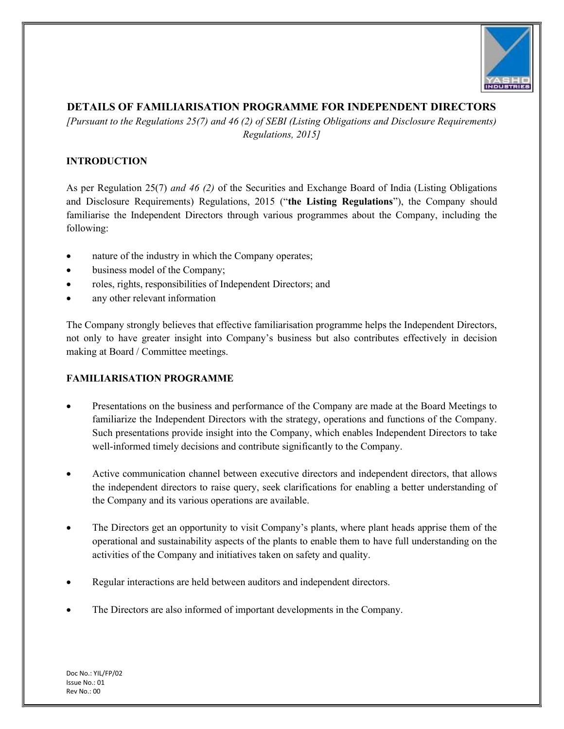

## DETAILS OF FAMILIARISATION PROGRAMME FOR INDEPENDENT DIRECTORS

[Pursuant to the Regulations 25(7) and 46 (2) of SEBI (Listing Obligations and Disclosure Requirements) Regulations, 2015]

## INTRODUCTION

As per Regulation 25(7) and 46 (2) of the Securities and Exchange Board of India (Listing Obligations and Disclosure Requirements) Regulations, 2015 ("the Listing Regulations"), the Company should familiarise the Independent Directors through various programmes about the Company, including the following:

- nature of the industry in which the Company operates;
- business model of the Company;
- roles, rights, responsibilities of Independent Directors; and
- any other relevant information

The Company strongly believes that effective familiarisation programme helps the Independent Directors, not only to have greater insight into Company's business but also contributes effectively in decision making at Board / Committee meetings.

## FAMILIARISATION PROGRAMME

- Presentations on the business and performance of the Company are made at the Board Meetings to familiarize the Independent Directors with the strategy, operations and functions of the Company. Such presentations provide insight into the Company, which enables Independent Directors to take well-informed timely decisions and contribute significantly to the Company.
- Active communication channel between executive directors and independent directors, that allows the independent directors to raise query, seek clarifications for enabling a better understanding of the Company and its various operations are available.
- The Directors get an opportunity to visit Company's plants, where plant heads apprise them of the operational and sustainability aspects of the plants to enable them to have full understanding on the activities of the Company and initiatives taken on safety and quality.
- Regular interactions are held between auditors and independent directors.
- The Directors are also informed of important developments in the Company.